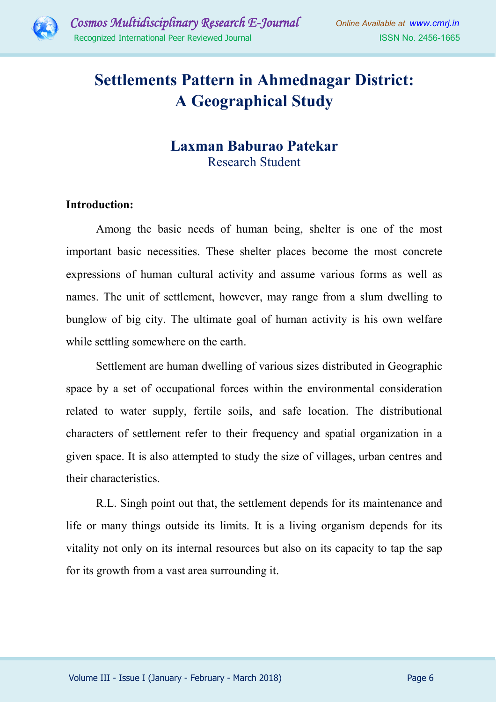

# **Settlements Pattern in Ahmednagar District: A Geographical Study**

## **Laxman Baburao Patekar** Research Student

#### **Introduction:**

Among the basic needs of human being, shelter is one of the most important basic necessities. These shelter places become the most concrete expressions of human cultural activity and assume various forms as well as names. The unit of settlement, however, may range from a slum dwelling to bunglow of big city. The ultimate goal of human activity is his own welfare while settling somewhere on the earth.

Settlement are human dwelling of various sizes distributed in Geographic space by a set of occupational forces within the environmental consideration related to water supply, fertile soils, and safe location. The distributional characters of settlement refer to their frequency and spatial organization in a given space. It is also attempted to study the size of villages, urban centres and their characteristics.

R.L. Singh point out that, the settlement depends for its maintenance and life or many things outside its limits. It is a living organism depends for its vitality not only on its internal resources but also on its capacity to tap the sap for its growth from a vast area surrounding it.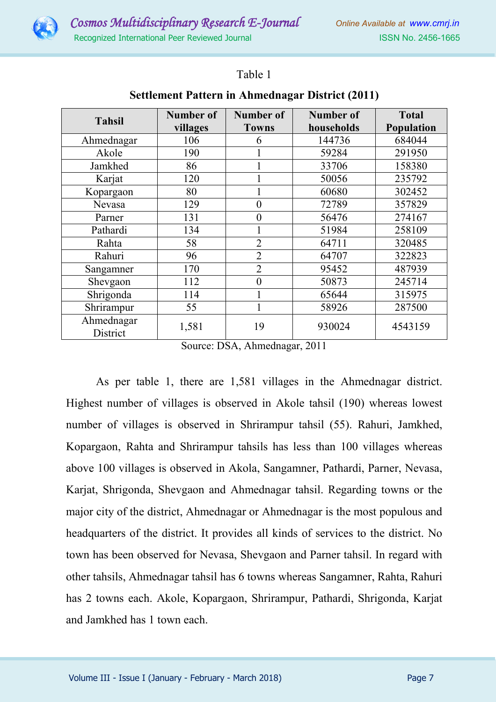

### Table 1

| <b>Tahsil</b>          | Number of | <b>Number of</b> | <b>Number of</b> | <b>Total</b> |
|------------------------|-----------|------------------|------------------|--------------|
|                        | villages  | <b>Towns</b>     | households       | Population   |
| Ahmednagar             | 106       | 6                | 144736           | 684044       |
| Akole                  | 190       |                  | 59284            | 291950       |
| Jamkhed                | 86        |                  | 33706            | 158380       |
| Karjat                 | 120       |                  | 50056            | 235792       |
| Kopargaon              | 80        |                  | 60680            | 302452       |
| Nevasa                 | 129       | 0                | 72789            | 357829       |
| Parner                 | 131       | 0                | 56476            | 274167       |
| Pathardi               | 134       |                  | 51984            | 258109       |
| Rahta                  | 58        | $\overline{2}$   | 64711            | 320485       |
| Rahuri                 | 96        | $\overline{2}$   | 64707            | 322823       |
| Sangamner              | 170       | $\overline{2}$   | 95452            | 487939       |
| Shevgaon               | 112       | 0                | 50873            | 245714       |
| Shrigonda              | 114       |                  | 65644            | 315975       |
| Shrirampur             | 55        | 1                | 58926            | 287500       |
| Ahmednagar<br>District | 1,581     | 19               | 930024           | 4543159      |

#### **Settlement Pattern in Ahmednagar District (2011)**

Source: DSA, Ahmednagar, 2011

As per table 1, there are 1,581 villages in the Ahmednagar district. Highest number of villages is observed in Akole tahsil (190) whereas lowest number of villages is observed in Shrirampur tahsil (55). Rahuri, Jamkhed, Kopargaon, Rahta and Shrirampur tahsils has less than 100 villages whereas above 100 villages is observed in Akola, Sangamner, Pathardi, Parner, Nevasa, Karjat, Shrigonda, Shevgaon and Ahmednagar tahsil. Regarding towns or the major city of the district, Ahmednagar or Ahmednagar is the most populous and headquarters of the district. It provides all kinds of services to the district. No town has been observed for Nevasa, Shevgaon and Parner tahsil. In regard with other tahsils, Ahmednagar tahsil has 6 towns whereas Sangamner, Rahta, Rahuri has 2 towns each. Akole, Kopargaon, Shrirampur, Pathardi, Shrigonda, Karjat and Jamkhed has 1 town each.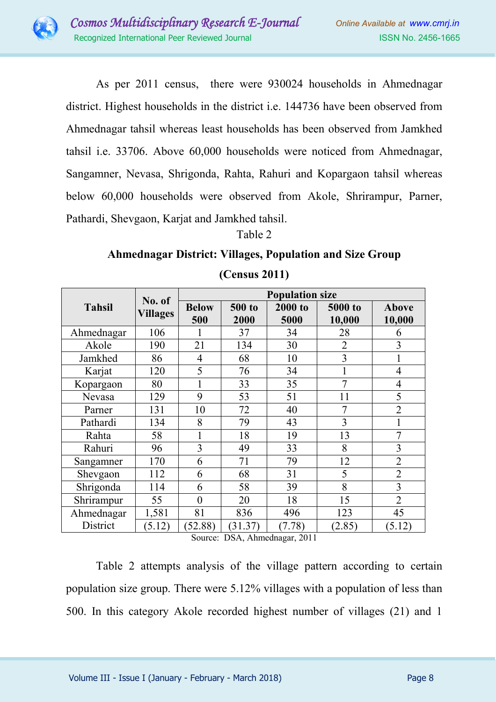

As per 2011 census, there were 930024 households in Ahmednagar district. Highest households in the district i.e. 144736 have been observed from Ahmednagar tahsil whereas least households has been observed from Jamkhed tahsil i.e. 33706. Above 60,000 households were noticed from Ahmednagar, Sangamner, Nevasa, Shrigonda, Rahta, Rahuri and Kopargaon tahsil whereas below 60,000 households were observed from Akole, Shrirampur, Parner, Pathardi, Shevgaon, Karjat and Jamkhed tahsil.

Table 2

## **Ahmednagar District: Villages, Population and Size Group (Census 2011)**

| <b>Tahsil</b> | No. of<br><b>Villages</b> | <b>Population size</b> |         |         |                |                |  |
|---------------|---------------------------|------------------------|---------|---------|----------------|----------------|--|
|               |                           | <b>Below</b>           | 500 to  | 2000 to | 5000 to        | <b>Above</b>   |  |
|               |                           | 500                    | 2000    | 5000    | 10,000         | 10,000         |  |
| Ahmednagar    | 106                       |                        | 37      | 34      | 28             | 6              |  |
| Akole         | 190                       | 21                     | 134     | 30      | $\overline{2}$ | 3              |  |
| Jamkhed       | 86                        | 4                      | 68      | 10      | 3              |                |  |
| Karjat        | 120                       | 5                      | 76      | 34      |                | $\overline{4}$ |  |
| Kopargaon     | 80                        | 1                      | 33      | 35      | 7              | 4              |  |
| Nevasa        | 129                       | 9                      | 53      | 51      | 11             | 5              |  |
| Parner        | 131                       | 10                     | 72      | 40      | 7              | $\overline{2}$ |  |
| Pathardi      | 134                       | 8                      | 79      | 43      | 3              |                |  |
| Rahta         | 58                        | 1                      | 18      | 19      | 13             | 7              |  |
| Rahuri        | 96                        | 3                      | 49      | 33      | 8              | 3              |  |
| Sangamner     | 170                       | 6                      | 71      | 79      | 12             | $\overline{2}$ |  |
| Shevgaon      | 112                       | 6                      | 68      | 31      | 5              | $\overline{2}$ |  |
| Shrigonda     | 114                       | 6                      | 58      | 39      | 8              | 3              |  |
| Shrirampur    | 55                        | $\theta$               | 20      | 18      | 15             | $\overline{2}$ |  |
| Ahmednagar    | 1,581                     | 81                     | 836     | 496     | 123            | 45             |  |
| District      | (5.12)                    | (52.88)                | (31.37) | (7.78)  | (2.85)         | (5.12)         |  |

Source: DSA, Ahmednagar, 2011

Table 2 attempts analysis of the village pattern according to certain population size group. There were 5.12% villages with a population of less than 500. In this category Akole recorded highest number of villages (21) and 1